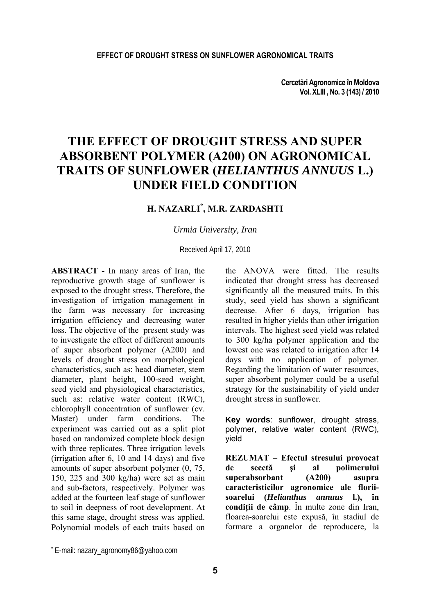**Cercetări Agronomice în Moldova Vol. XLIII , No. 3 (143) / 2010** 

# **THE EFFECT OF DROUGHT STRESS AND SUPER ABSORBENT POLYMER (A200) ON AGRONOMICAL TRAITS OF SUNFLOWER (***HELIANTHUS ANNUUS* **L.) UNDER FIELD CONDITION**

## **H. NAZARLI\* , M.R. ZARDASHTI**

*Urmia University, Iran* 

Received April 17, 2010

**ABSTRACT -** In many areas of Iran, the reproductive growth stage of sunflower is exposed to the drought stress. Therefore, the investigation of irrigation management in the farm was necessary for increasing irrigation efficiency and decreasing water loss. The objective of the present study was to investigate the effect of different amounts of super absorbent polymer (A200) and levels of drought stress on morphological characteristics, such as: head diameter, stem diameter, plant height, 100-seed weight, seed yield and physiological characteristics, such as: relative water content (RWC), chlorophyll concentration of sunflower (cv. Master) under farm conditions. The experiment was carried out as a split plot based on randomized complete block design with three replicates. Three irrigation levels (irrigation after 6, 10 and 14 days) and five amounts of super absorbent polymer (0, 75, 150, 225 and 300 kg/ha) were set as main and sub-factors, respectively. Polymer was added at the fourteen leaf stage of sunflower to soil in deepness of root development. At this same stage, drought stress was applied. Polynomial models of each traits based on the ANOVA were fitted. The results indicated that drought stress has decreased significantly all the measured traits. In this study, seed yield has shown a significant decrease. After 6 days, irrigation has resulted in higher yields than other irrigation intervals. The highest seed yield was related to 300 kg/ha polymer application and the lowest one was related to irrigation after 14 days with no application of polymer. Regarding the limitation of water resources, super absorbent polymer could be a useful strategy for the sustainability of yield under drought stress in sunflower.

**Key words**: sunflower, drought stress, polymer, relative water content (RWC), yield

**REZUMAT – Efectul stresului provocat de secetă şi al polimerului superabsorbant (A200) asupra caracteristicilor agronomice ale floriisoarelui (***Helianthus annuus* **l.), în condiţii de câmp**. În multe zone din Iran, floarea-soarelui este expusă, în stadiul de formare a organelor de reproducere, la

l

<sup>\*</sup> E-mail: nazary\_agronomy86@yahoo.com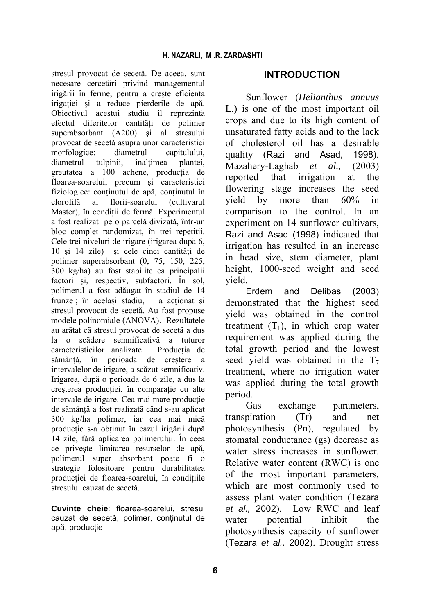stresul provocat de secetă. De aceea, sunt necesare cercetări privind managementul irigării în ferme, pentru a creşte eficienţa irigației și a reduce pierderile de apă. Obiectivul acestui studiu îl reprezintă efectul diferitelor cantităţi de polimer superabsorbant (A200) si al stresului provocat de secetă asupra unor caracteristici morfologice: diametrul capitulului, diametrul tulpinii, înălțimea plantei, greutatea a 100 achene, producţia de floarea-soarelui, precum şi caracteristici fiziologice: continutul de apă, continutul în clorofilă al florii-soarelui (cultivarul Master), în condiții de fermă. Experimentul a fost realizat pe o parcelă divizată, într-un bloc complet randomizat, în trei repetiții. Cele trei niveluri de irigare (irigarea după 6, 10 și 14 zile) și cele cinci cantități de polimer superabsorbant (0, 75, 150, 225, 300 kg/ha) au fost stabilite ca principalii factori şi, respectiv, subfactori. În sol, polimerul a fost adăugat în stadiul de 14 frunze : în acelasi stadiu, a actionat și stresul provocat de secetă. Au fost propuse modele polinomiale (ANOVA). Rezultatele au arătat că stresul provocat de secetă a dus la o scădere semnificativă a tuturor caracteristicilor analizate. Producția de sământă, în perioada de crestere a intervalelor de irigare, a scăzut semnificativ. Irigarea, după o perioadă de 6 zile, a dus la creşterea producţiei, în comparaţie cu alte intervale de irigare. Cea mai mare productie de sământă a fost realizată când s-au aplicat 300 kg/ha polimer, iar cea mai mică producţie s-a obţinut în cazul irigării după 14 zile, fără aplicarea polimerului. În ceea ce priveşte limitarea resurselor de apă, polimerul super absorbant poate fi o strategie folositoare pentru durabilitatea productiei de floarea-soarelui, în conditiile stresului cauzat de secetă.

**Cuvinte cheie**: floarea-soarelui, stresul cauzat de secetă, polimer, continutul de apă, productie

## **INTRODUCTION**

Sunflower (*Helianthus annuus* L.) is one of the most important oil crops and due to its high content of unsaturated fatty acids and to the lack of cholesterol oil has a desirable quality (Razi and Asad, 1998). Mazahery-Laghab *et al.,* (2003) reported that irrigation at the flowering stage increases the seed yield by more than 60% in comparison to the control. In an experiment on 14 sunflower cultivars, Razi and Asad (1998) indicated that irrigation has resulted in an increase in head size, stem diameter, plant height, 1000-seed weight and seed yield.

Erdem and Delibas (2003) demonstrated that the highest seed yield was obtained in the control treatment  $(T_1)$ , in which crop water requirement was applied during the total growth period and the lowest seed yield was obtained in the  $T_7$ treatment, where no irrigation water was applied during the total growth period.

Gas exchange parameters, transpiration (Tr) and net photosynthesis (Pn), regulated by stomatal conductance (gs) decrease as water stress increases in sunflower. Relative water content (RWC) is one of the most important parameters, which are most commonly used to assess plant water condition (Tezara *et al.,* 2002). Low RWC and leaf water potential inhibit the photosynthesis capacity of sunflower (Tezara *et al.,* 2002). Drought stress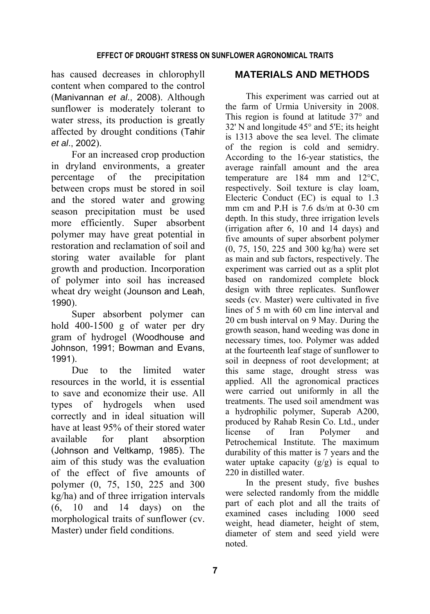has caused decreases in chlorophyll content when compared to the control (Manivannan *et al*., 2008). Although sunflower is moderately tolerant to water stress, its production is greatly affected by drought conditions (Tahir *et al*., 2002).

For an increased crop production in dryland environments, a greater percentage of the precipitation between crops must be stored in soil and the stored water and growing season precipitation must be used more efficiently. Super absorbent polymer may have great potential in restoration and reclamation of soil and storing water available for plant growth and production. Incorporation of polymer into soil has increased wheat dry weight (Jounson and Leah, 1990).

Super absorbent polymer can hold 400-1500 g of water per dry gram of hydrogel (Woodhouse and Johnson, 1991; Bowman and Evans, 1991).

Due to the limited water resources in the world, it is essential to save and economize their use. All types of hydrogels when used correctly and in ideal situation will have at least 95% of their stored water available for plant absorption (Johnson and Veltkamp, 1985). The aim of this study was the evaluation of the effect of five amounts of polymer (0, 75, 150, 225 and 300 kg/ha) and of three irrigation intervals (6, 10 and 14 days) on the morphological traits of sunflower (cv. Master) under field conditions.

# **MATERIALS AND METHODS**

This experiment was carried out at the farm of Urmia University in 2008. This region is found at latitude 37° and 32' N and longitude 45° and 5'E; its height is 1313 above the sea level. The climate of the region is cold and semidry. According to the 16-year statistics, the average rainfall amount and the area temperature are 184 mm and 12°C, respectively. Soil texture is clay loam, Electeric Conduct (EC) is equal to 1.3 mm cm and P.H is 7.6 ds/m at 0-30 cm depth. In this study, three irrigation levels (irrigation after 6, 10 and 14 days) and five amounts of super absorbent polymer (0, 75, 150, 225 and 300 kg/ha) were set as main and sub factors, respectively. The experiment was carried out as a split plot based on randomized complete block design with three replicates. Sunflower seeds (cv. Master) were cultivated in five lines of 5 m with 60 cm line interval and 20 cm bush interval on 9 May. During the growth season, hand weeding was done in necessary times, too. Polymer was added at the fourteenth leaf stage of sunflower to soil in deepness of root development; at this same stage, drought stress was applied. All the agronomical practices were carried out uniformly in all the treatments. The used soil amendment was a hydrophilic polymer, Superab A200, produced by Rahab Resin Co. Ltd., under license of Iran Polymer and Petrochemical Institute. The maximum durability of this matter is 7 years and the water uptake capacity  $(g/g)$  is equal to 220 in distilled water.

In the present study, five bushes were selected randomly from the middle part of each plot and all the traits of examined cases including 1000 seed weight, head diameter, height of stem, diameter of stem and seed yield were noted.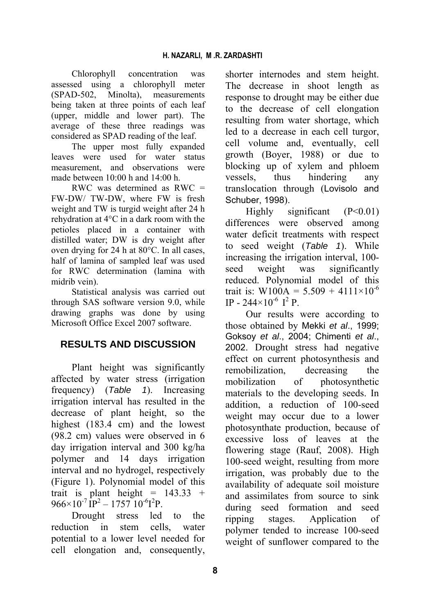Chlorophyll concentration was assessed using a chlorophyll meter (SPAD-502, Minolta), measurements being taken at three points of each leaf (upper, middle and lower part). The average of these three readings was considered as SPAD reading of the leaf.

The upper most fully expanded leaves were used for water status measurement, and observations were made between 10:00 h and 14:00 h.

RWC was determined as RWC = FW-DW/ TW-DW, where FW is fresh weight and TW is turgid weight after 24 h rehydration at 4°C in a dark room with the petioles placed in a container with distilled water; DW is dry weight after oven drying for 24 h at 80°C. In all cases, half of lamina of sampled leaf was used for RWC determination (lamina with midrib vein).

Statistical analysis was carried out through SAS software version 9.0, while drawing graphs was done by using Microsoft Office Excel 2007 software.

# **RESULTS AND DISCUSSION**

Plant height was significantly affected by water stress (irrigation frequency) (*Table 1*). Increasing irrigation interval has resulted in the decrease of plant height, so the highest (183.4 cm) and the lowest (98.2 cm) values were observed in 6 day irrigation interval and 300 kg/ha polymer and 14 days irrigation interval and no hydrogel, respectively (Figure 1). Polynomial model of this trait is plant height =  $143.33 +$  $966 \times 10^{-7}$   $\text{IP}^2 - 1757$   $10^{-6}$  $\text{I}^2$  $\text{P}$ .

Drought stress led to the reduction in stem cells, water potential to a lower level needed for cell elongation and, consequently, shorter internodes and stem height. The decrease in shoot length as response to drought may be either due to the decrease of cell elongation resulting from water shortage, which led to a decrease in each cell turgor, cell volume and, eventually, cell growth (Boyer, 1988) or due to blocking up of xylem and phloem vessels, thus hindering any translocation through (Lovisolo and Schuber, 1998).

Highly significant  $(P<0.01)$ differences were observed among water deficit treatments with respect to seed weight (*Table 1*). While increasing the irrigation interval, 100 seed weight was significantly reduced. Polynomial model of this trait is: W100A =  $5.509 + 4111 \times 10^{-6}$ IP - 244×10<sup>-6</sup>  $I^2$  P.

Our results were according to those obtained by Mekki *et al*., 1999; Goksoy *et al*., 2004; Chimenti *et al*., 2002. Drought stress had negative effect on current photosynthesis and remobilization, decreasing the mobilization of photosynthetic materials to the developing seeds. In addition, a reduction of 100-seed weight may occur due to a lower photosynthate production, because of excessive loss of leaves at the flowering stage (Rauf, 2008). High 100-seed weight, resulting from more irrigation, was probably due to the availability of adequate soil moisture and assimilates from source to sink during seed formation and seed ripping stages. Application of polymer tended to increase 100-seed weight of sunflower compared to the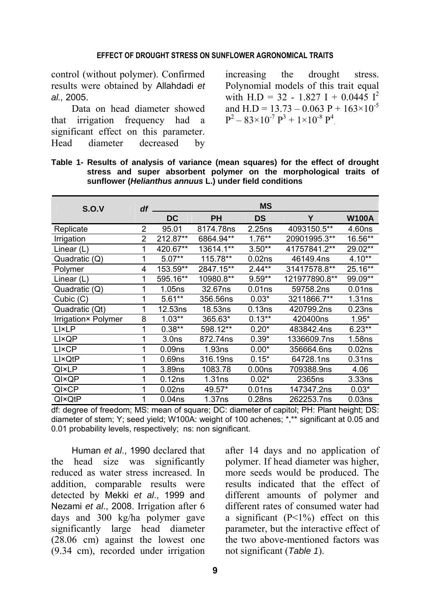#### **EFFECT OF DROUGHT STRESS ON SUNFLOWER AGRONOMICAL TRAITS**

control (without polymer). Confirmed results were obtained by Allahdadi *et al.,* 2005.

Data on head diameter showed that irrigation frequency had a significant effect on this parameter. Head diameter decreased by

increasing the drought stress. Polynomial models of this trait equal with H.D = 32 - 1.827 I + 0.0445  $I^2$ and H.D = 13.73 – 0.063 P +  $163 \times 10^{-5}$  $P^2 - 83 \times 10^{-7} P^3 + 1 \times 10^{-8} P^4$ .

|                                                                 |  |  |  | Table 1- Results of analysis of variance (mean squares) for the effect of drought |  |  |  |  |  |
|-----------------------------------------------------------------|--|--|--|-----------------------------------------------------------------------------------|--|--|--|--|--|
|                                                                 |  |  |  | stress and super absorbent polymer on the morphological traits of                 |  |  |  |  |  |
| sunflower ( <i>Helianthus annuus</i> L.) under field conditions |  |  |  |                                                                                   |  |  |  |  |  |

| S.O.V               | df | <b>MS</b>          |           |                    |               |              |  |  |
|---------------------|----|--------------------|-----------|--------------------|---------------|--------------|--|--|
|                     |    | DC                 | <b>PH</b> | <b>DS</b>          | Υ             | <b>W100A</b> |  |  |
| Replicate           | 2  | 95.01              | 8174.78ns | 2.25ns             | 4093150.5**   | 4.60ns       |  |  |
| Irrigation          | 2  | 212.87**           | 6864.94** | $1.76***$          | 20901995.3**  | 16.56**      |  |  |
| Linear (L)          | 1  | 420.67**           | 13614.1** | $3.50**$           | 41757841.2**  | 29.02**      |  |  |
| Quadratic (Q)       | 1  | $5.07**$           | 115.78**  | 0.02ns             | 46149.4ns     | $4.10**$     |  |  |
| Polymer             | 4  | 153.59**           | 2847.15** | $2.44**$           | 31417578.8**  | 25.16**      |  |  |
| Linear $(L)$        | 1  | 595.16**           | 10980.8** | $9.59**$           | 121977890.8** | 99.09**      |  |  |
| Quadratic (Q)       | 1  | 1.05ns             | 32.67ns   | $0.01$ ns          | 59758.2ns     | $0.01$ ns    |  |  |
| Cubic (C)           | 1  | $5.61**$           | 356.56ns  | $0.03*$            | 3211866.7**   | 1.31ns       |  |  |
| Quadratic (Qt)      | 1  | 12.53ns            | 18.53ns   | 0.13ns             | 420799.2ns    | 0.23ns       |  |  |
| Irrigation× Polymer | 8  | $1.03**$           | 365.63*   | $0.13***$          | 420400ns      | $1.95*$      |  |  |
| <b>LIxLP</b>        | 1  | $0.38**$           | 598.12**  | $0.20*$            | 483842.4ns    | $6.23**$     |  |  |
| LI×QP               | 1  | 3.0 <sub>ns</sub>  | 872.74ns  | $0.39*$            | 1336609.7ns   | 1.58ns       |  |  |
| <b>LI×CP</b>        | 1  | 0.09 <sub>ns</sub> | 1.93ns    | $0.00*$            | 356664.6ns    | 0.02ns       |  |  |
| LI×QtP              | 1  | 0.69 <sub>ns</sub> | 316.19ns  | $0.15*$            | 64728.1ns     | 0.31ns       |  |  |
| QI×LP               |    | 3.89ns             | 1083.78   | 0.00 <sub>ns</sub> | 709388.9ns    | 4.06         |  |  |
| QI×QP               | 1  | 0.12ns             | 1.31ns    | $0.02*$            | 2365ns        | 3.33ns       |  |  |
| QI×CP               | 1  | 0.02 <sub>ns</sub> | 49.57*    | 0.01 <sub>ns</sub> | 147347.2ns    | $0.03*$      |  |  |
| QI×QtP              | 1  | 0.04 <sub>ns</sub> | 1.37ns    | 0.28ns             | 262253.7ns    | 0.03ns       |  |  |

df: degree of freedom; MS: mean of square; DC: diameter of capitol; PH: Plant height; DS: diameter of stem; Y; seed yield; W100A: weight of 100 achenes; \*,\*\* significant at 0.05 and 0.01 probability levels, respectively; ns: non significant.

Human *et al*., 1990 declared that the head size was significantly reduced as water stress increased. In addition, comparable results were detected by Mekki *et al*., 1999 and Nezami *et al*., 2008. Irrigation after 6 days and 300 kg/ha polymer gave significantly large head diameter (28.06 cm) against the lowest one (9.34 cm), recorded under irrigation

after 14 days and no application of polymer. If head diameter was higher, more seeds would be produced. The results indicated that the effect of different amounts of polymer and different rates of consumed water had a significant  $(P<1%)$  effect on this parameter, but the interactive effect of the two above-mentioned factors was not significant (*Table 1*).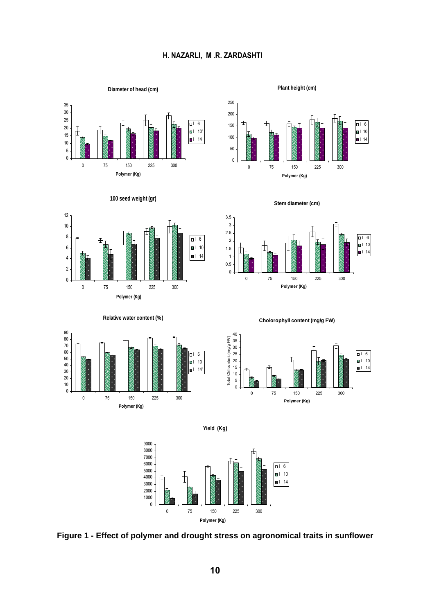





**100 seed weight (gr)**





**Cholorophyll content (mg/g FW)**



**Relative water content (%)**





**Yield (Kg)**

**Figure 1 - Effect of polymer and drought stress on agronomical traits in sunflower**

10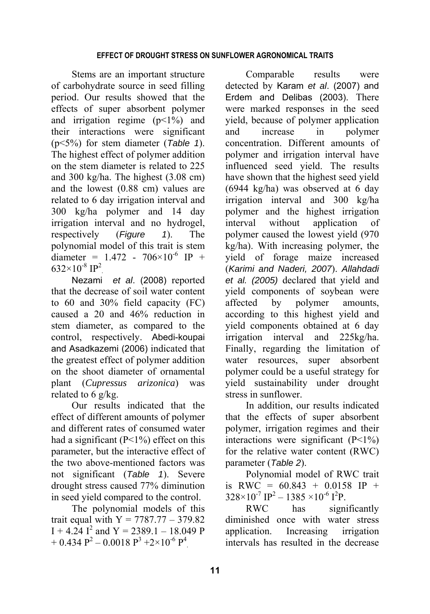Stems are an important structure of carbohydrate source in seed filling period. Our results showed that the effects of super absorbent polymer and irrigation regime  $(p<1%)$  and their interactions were significant (p<5%) for stem diameter (*Table 1*). The highest effect of polymer addition on the stem diameter is related to 225 and 300 kg/ha. The highest (3.08 cm) and the lowest (0.88 cm) values are related to 6 day irrigation interval and 300 kg/ha polymer and 14 day irrigation interval and no hydrogel, respectively (*Figure 1*). The polynomial model of this trait is stem diameter =  $1.472$  -  $706 \times 10^{-6}$  IP +  $632\times10^{-8}$  IP<sup>2</sup>.

Nezami *et al*. (2008) reported that the decrease of soil water content to 60 and 30% field capacity (FC) caused a 20 and 46% reduction in stem diameter, as compared to the control, respectively. Abedi-koupai and Asadkazemi (2006) indicated that the greatest effect of polymer addition on the shoot diameter of ornamental plant (*Cupressus arizonica*) was related to 6 g/kg.

Our results indicated that the effect of different amounts of polymer and different rates of consumed water had a significant  $(P<1%)$  effect on this parameter, but the interactive effect of the two above-mentioned factors was not significant (*Table 1*). Severe drought stress caused 77% diminution in seed yield compared to the control.

The polynomial models of this trait equal with  $Y = 7787.77 - 379.82$  $I + 4.24 I^2$  and  $Y = 2389.1 - 18.049 P$  $+ 0.434 P^2 - 0.0018 P^3 + 2 \times 10^{-6} P^4$ .

Comparable results were detected by Karam *et al*. (2007) and Erdem and Delibas (2003). There were marked responses in the seed yield, because of polymer application and increase in polymer concentration. Different amounts of polymer and irrigation interval have influenced seed yield. The results have shown that the highest seed yield (6944 kg/ha) was observed at 6 day irrigation interval and 300 kg/ha polymer and the highest irrigation interval without application of polymer caused the lowest yield (970 kg/ha). With increasing polymer, the yield of forage maize increased (*Karimi and Naderi, 2007*). *Allahdadi et al. (2005)* declared that yield and yield components of soybean were affected by polymer amounts, according to this highest yield and yield components obtained at 6 day irrigation interval and 225kg/ha. Finally, regarding the limitation of water resources, super absorbent polymer could be a useful strategy for yield sustainability under drought stress in sunflower.

In addition, our results indicated that the effects of super absorbent polymer, irrigation regimes and their interactions were significant  $(P<1%)$ for the relative water content (RWC) parameter (*Table 2*).

Polynomial model of RWC trait is RWC =  $60.843 + 0.0158$  IP +  $328 \times 10^{-7}$  IP<sup>2</sup> – 1385  $\times 10^{-6}$  I<sup>2</sup>P.

RWC has significantly diminished once with water stress application. Increasing irrigation intervals has resulted in the decrease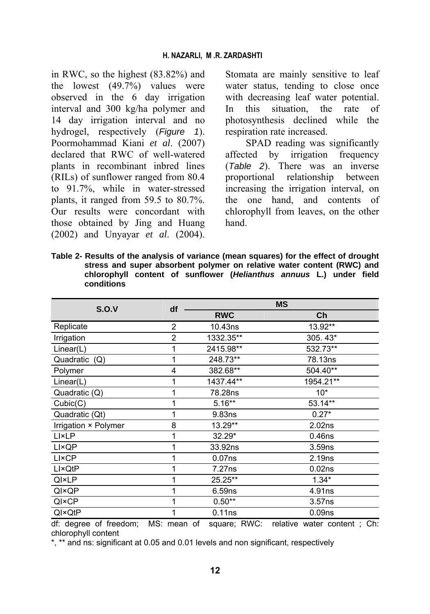in RWC, so the highest (83.82%) and the lowest (49.7%) values were observed in the 6 day irrigation interval and 300 kg/ha polymer and 14 day irrigation interval and no hydrogel, respectively (*Figure 1*). Poormohammad Kiani *et al*. (2007) declared that RWC of well-watered plants in recombinant inbred lines (RILs) of sunflower ranged from 80.4 to 91.7%, while in water-stressed plants, it ranged from 59.5 to 80.7%. Our results were concordant with those obtained by Jing and Huang (2002) and Unyayar *et al*. (2004).

Stomata are mainly sensitive to leaf water status, tending to close once with decreasing leaf water potential. In this situation, the rate of photosynthesis declined while the respiration rate increased.

SPAD reading was significantly affected by irrigation frequency (*Table 2*). There was an inverse proportional relationship between increasing the irrigation interval, on the one hand, and contents of chlorophyll from leaves, on the other hand.

**Table 2- Results of the analysis of variance (mean squares) for the effect of drought stress and super absorbent polymer on relative water content (RWC) and chlorophyll content of sunflower (***Helianthus annuus* **L.) under field conditions** 

| S.O.V                | df             | <b>MS</b>  |                    |  |  |
|----------------------|----------------|------------|--------------------|--|--|
|                      |                | <b>RWC</b> | Ch                 |  |  |
| Replicate            | 2              | 10.43ns    | 13.92**            |  |  |
| Irrigation           | $\overline{2}$ | 1332.35**  | 305.43*            |  |  |
| Linear(L)            | 1              | 2415.98**  | 532.73**           |  |  |
| Quadratic (Q)        | 1              | 248.73**   | 78.13ns            |  |  |
| Polymer              | 4              | 382.68**   | 504.40**           |  |  |
| Linear(L)            | 1              | 1437.44**  | 1954.21**          |  |  |
| Quadratic (Q)        | 1              | 78.28ns    | $10*$              |  |  |
| Cubic(C)             | 1              | $5.16**$   | 53.14**            |  |  |
| Quadratic (Qt)       | 1              | 9.83ns     | $0.27*$            |  |  |
| Irrigation × Polymer | 8              | 13.29**    | 2.02ns             |  |  |
| LI×LP                | 1              | $32.29*$   | 0.46 <sub>ns</sub> |  |  |
| LI×QP                | 1              | 33.92ns    | 3.59 <sub>ns</sub> |  |  |
| <b>LI×CP</b>         | 1              | 0.07ns     | 2.19 <sub>ns</sub> |  |  |
| LI×QtP               | 1              | 7.27ns     | 0.02 <sub>ns</sub> |  |  |
| QI×LP                | 1              | 25.25**    | $1.34*$            |  |  |
| QI×QP                | 1              | 6.59ns     | 4.91ns             |  |  |
| QI×CP                | 1              | $0.50**$   | 3.57ns             |  |  |
| QI×QtP               | 1              | 0.11ns     | 0.09 <sub>ns</sub> |  |  |

df: degree of freedom; MS: mean of square; RWC: relative water content ; Ch: chlorophyll content

\*, \*\* and ns: significant at 0.05 and 0.01 levels and non significant, respectively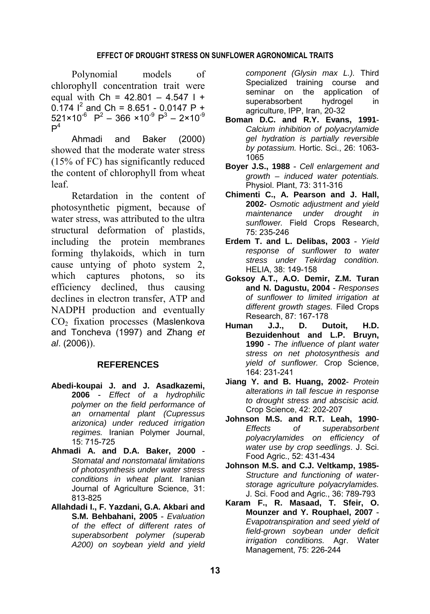#### **EFFECT OF DROUGHT STRESS ON SUNFLOWER AGRONOMICAL TRAITS**

Polynomial models of chlorophyll concentration trait were equal with  $Ch = 42.801 - 4.547$  l + 0.174  $1^2$  and Ch = 8.651 - 0.0147 P +  $521\times10^{6}$  P<sup>2</sup> – 366  $\times10^{9}$  P<sup>3</sup> – 2 $\times10^{9}$  $D<sup>4</sup>$ 

Ahmadi and Baker (2000) showed that the moderate water stress (15% of FC) has significantly reduced the content of chlorophyll from wheat leaf.

Retardation in the content of photosynthetic pigment, because of water stress, was attributed to the ultra structural deformation of plastids, including the protein membranes forming thylakoids, which in turn cause untying of photo system 2, which captures photons, so its efficiency declined, thus causing declines in electron transfer, ATP and NADPH production and eventually CO<sub>2</sub> fixation processes (Maslenkova and Toncheva (1997) and Zhang *et al*. (2006)).

### **REFERENCES**

- **Abedi-koupai J. and J. Asadkazemi, 2006** - *Effect of a hydrophilic polymer on the field performance of an ornamental plant (Cupressus arizonica) under reduced irrigation regimes.* Iranian Polymer Journal, 15: 715-725
- **Ahmadi A. and D.A. Baker, 2000** *Stomatal and nonstomatal limitations of photosynthesis under water stress conditions in wheat plant.* Iranian Journal of Agriculture Science, 31: 813-825
- **Allahdadi I., F. Yazdani, G.A. Akbari and S.M. Behbahani, 2005** - *Evaluation of the effect of different rates of superabsorbent polymer (superab A200) on soybean yield and yield*

*component (Glysin max L.).* Third Specialized training course and seminar on the application of superabsorbent hydrogel in agriculture, IPP, Iran, 20-32

- **Boman D.C. and R.Y. Evans, 1991** *Calcium inhibition of polyacrylamide gel hydration is partially reversible by potassium.* Hortic. Sci., 26: 1063- 1065
- **Boyer J.S., 1988** *Cell enlargement and growth – induced water potentials.* Physiol. Plant, 73: 311-316
- **Chimenti C., A. Pearson and J. Hall, 2002**- *Osmotic adjustment and yield maintenance under drought in sunflower.* Field Crops Research, 75: 235-246
- **Erdem T. and L. Delibas, 2003** *Yield response of sunflower to water stress under Tekirdag condition.*  HELIA, 38: 149-158
- **Goksoy A.T., A.O. Demir, Z.M. Turan and N. Dagustu, 2004** - *Responses of sunflower to limited irrigation at different growth stages.* Filed Crops Research, 87: 167-178
- **Human J.J., D. Dutoit, H.D. Bezuidenhout and L.P. Bruyn, 1990** - *The influence of plant water stress on net photosynthesis and yield of sunflower.* Crop Science, 164: 231-241
- **Jiang Y. and B. Huang, 2002** *Protein alterations in tall fescue in response to drought stress and abscisic acid.*  Crop Science, 42: 202-207
- **Johnson M.S. and R.T. Leah, 1990** *Effects of superabsorbent polyacrylamides on efficiency of water use by crop seedlings*. J. Sci. Food Agric., 52: 431-434
- **Johnson M.S. and C.J. Veltkamp, 1985-** *Structure and functioning of waterstorage agriculture polyacrylamides.*  J. Sci. Food and Agric., 36: 789-793
- **Karam F., R. Masaad, T. Sfeir, O. Mounzer and Y. Rouphael, 2007** - *Evapotranspiration and seed yield of field-grown soybean under deficit irrigation conditions.* Agr. Water Management, 75: 226-244